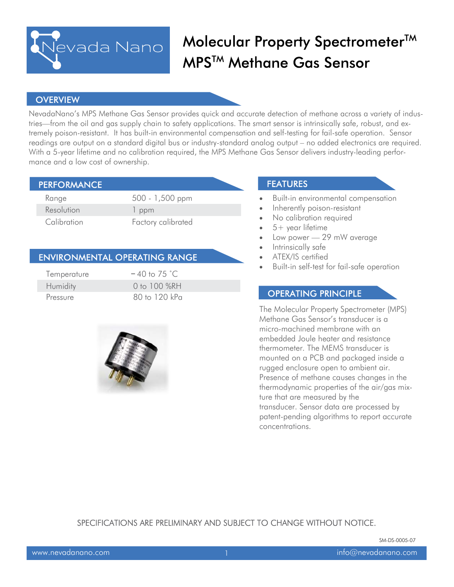

# Molecular Property Spectrometer<sup>™</sup> MPS<sup>™</sup> Methane Gas Sensor

#### **OVERVIEW**

NevadaNano's MPS Methane Gas Sensor provides quick and accurate detection of methane across a variety of industries—from the oil and gas supply chain to safety applications. The smart sensor is intrinsically safe, robust, and extremely poison-resistant. It has built-in environmental compensation and self-testing for fail-safe operation. Sensor readings are output on a standard digital bus or industry-standard analog output – no added electronics are required. With a 5-year lifetime and no calibration required, the MPS Methane Gas Sensor delivers industry-leading performance and a low cost of ownership.

| <b>PERFORMANCE</b> |                    |  |
|--------------------|--------------------|--|
| Range              | 500 - 1,500 ppm    |  |
| Resolution         | 1 ppm              |  |
| Calibration        | Factory calibrated |  |

#### **ENVIRONMENTAL OPERATING RANGE**

| Temperature | $-40$ to 75 °C. |
|-------------|-----------------|
| Humidity    | 0 to 100 $%RH$  |
| Pressure    | 80 to 120 kPa   |



### **FEATURES**

- Built-in environmental compensation
- Inherently poison-resistant
- No calibration required
- 5+ year lifetime
- Low power 29 mW average
- Intrinsically safe
- ATEX/IS certified
- Built-in self-test for fail-safe operation

### **OPERATING PRINCIPLE**

The Molecular Property Spectrometer (MPS) Methane Gas Sensor's transducer is a micro-machined membrane with an embedded Joule heater and resistance thermometer. The MEMS transducer is mounted on a PCB and packaged inside a rugged enclosure open to ambient air. Presence of methane causes changes in the thermodynamic properties of the air/gas mixture that are measured by the transducer. Sensor data are processed by patent-pending algorithms to report accurate concentrations.

SPECIFICATIONS ARE PRELIMINARY AND SUBJECT TO CHANGE WITHOUT NOTICE.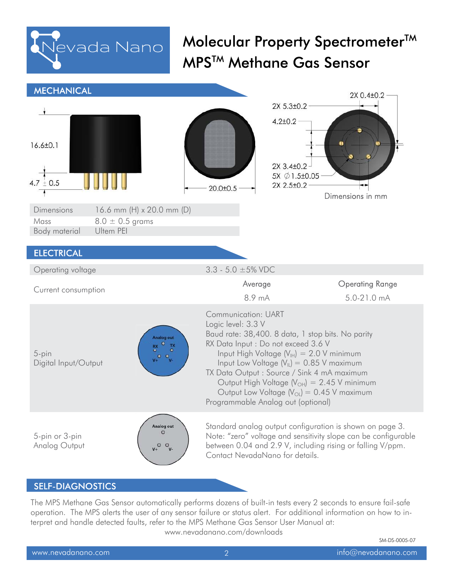

Molecular Property Spectrometer™ MPS™ Methane Gas Sensor

| <b>MECHANICAL</b>                                                                                                      |                                                                                                                        | 2X 0.4±0.2                                                                                                                                                                                                                                                                                                     |
|------------------------------------------------------------------------------------------------------------------------|------------------------------------------------------------------------------------------------------------------------|----------------------------------------------------------------------------------------------------------------------------------------------------------------------------------------------------------------------------------------------------------------------------------------------------------------|
|                                                                                                                        |                                                                                                                        | 2X 5.3±0.2                                                                                                                                                                                                                                                                                                     |
| $16.6 \pm 0.1$<br>$4.7 \pm 0.5$                                                                                        | $20.0 \pm 0.5$                                                                                                         | $4.2 \pm 0.2$<br>2X 3.4±0.2<br>5X Ø 1.5±0.05<br>2X 2.5±0.2<br>Dimensions in mm                                                                                                                                                                                                                                 |
| Dimensions<br>16.6 mm (H) x 20.0 mm (D)                                                                                |                                                                                                                        |                                                                                                                                                                                                                                                                                                                |
| $8.0 \pm 0.5$ grams<br>Mass<br>Ultem PEI<br>Body material                                                              |                                                                                                                        |                                                                                                                                                                                                                                                                                                                |
|                                                                                                                        |                                                                                                                        |                                                                                                                                                                                                                                                                                                                |
| <b>ELECTRICAL</b>                                                                                                      |                                                                                                                        |                                                                                                                                                                                                                                                                                                                |
| Operating voltage                                                                                                      | 3.3 - 5.0 $\pm$ 5% VDC                                                                                                 |                                                                                                                                                                                                                                                                                                                |
| Current consumption                                                                                                    | Average<br>8.9 mA                                                                                                      | <b>Operating Range</b><br>5.0-21.0 mA                                                                                                                                                                                                                                                                          |
| <b>Analog out</b><br>$\overline{\mathbf{o}}$<br>$^{\rm RX}_{\rm O}$<br>5-pin<br>0 <sub>o</sub><br>Digital Input/Output | Communication: UART<br>Logic level: 3.3 V<br>RX Data Input : Do not exceed 3.6 V<br>Programmable Analog out (optional) | Baud rate: 38,400. 8 data, 1 stop bits. No parity<br>Input High Voltage $(V_{IH}) = 2.0 V$ minimum<br>Input Low Voltage $(V_{\parallel})$ = 0.85 V maximum<br>TX Data Output : Source / Sink 4 mA maximum<br>Output High Voltage $(V_{OH}) = 2.45$ V minimum<br>Output Low Voltage $(V_{OL}) = 0.45$ V maximum |
| Analog out<br>5-pin or 3-pin<br>Analog Output<br>$V_+$ <sup>O</sup> $V_-$                                              | Contact NevadaNano for details.                                                                                        | Standard analog output configuration is shown on page 3.<br>Note: "zero" voltage and sensitivity slope can be configurable<br>between 0.04 and 2.9 V, including rising or falling V/ppm.                                                                                                                       |

### **SELF-DIAGNOSTICS**

The MPS Methane Gas Sensor automatically performs dozens of built-in tests every 2 seconds to ensure fail-safe operation. The MPS alerts the user of any sensor failure or status alert. For additional information on how to interpret and handle detected faults, refer to the MPS Methane Gas Sensor User Manual at: www.nevadanano.com/downloads

SM-DS-0005-07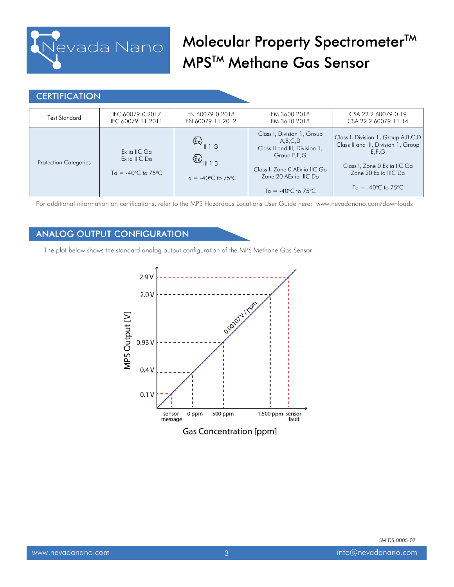

## Molecular Property Spectrometer™ MPS™ Methane Gas Sensor

### **CERTIFICATION**

| Test Standard                | IEC 60079-0:2017<br>IEC 60079-11:2011                                 | EN 60079-0:2018<br>EN 60079-11:2012                                                                                                                                 | FM 3600:2018<br>FM 3610:2018                                                                                                                                                             | CSA 22.2 60079-0:19<br>CSA 22.2 60079-11:14                                                                                                                                            |
|------------------------------|-----------------------------------------------------------------------|---------------------------------------------------------------------------------------------------------------------------------------------------------------------|------------------------------------------------------------------------------------------------------------------------------------------------------------------------------------------|----------------------------------------------------------------------------------------------------------------------------------------------------------------------------------------|
| <b>Protection Categories</b> | Ex ia IIC Ga<br>Ex ia IIIC Da<br>$Ta = -40^{\circ}C$ to $75^{\circ}C$ | $\left(\frac{1}{2}\right)$ $\left 1\right $ $\left 0\right $<br>$\left\langle \sum_{\parallel 1 \parallel 1} \right\rangle$<br>$Ta = -40^{\circ}C$ to $75^{\circ}C$ | Class I, Division 1, Group<br>A,B,C,D<br>Class II and III, Division 1,<br>Group E,F,G<br>Class I, Zone 0 AEx ia IIC Ga<br>Zone 20 AEx ia IIIC Da<br>$Ta = -40^{\circ}C$ to $75^{\circ}C$ | Class I, Division 1, Group A, B, C, D<br>Class II and III, Division 1, Group<br>E.F.G<br>Class I, Zone 0 Ex ia IIC Ga<br>Zone 20 Ex ia IIIC Da<br>$Ta = -40^{\circ}C$ to $75^{\circ}C$ |

For additional information on certifications, refer to the MPS Hazardous Locations User Guide here: www.nevadanano.com/downloads

### **ANALOG OUTPUT CONFIGURATION**

The plot below shows the standard analog output configuration of the MPS Methane Gas Sensor.